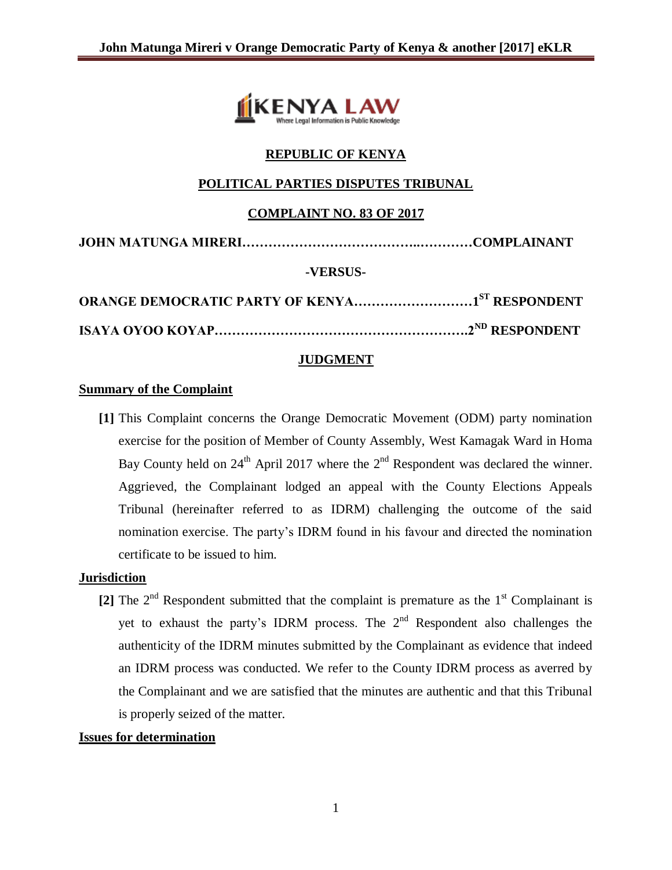

# **REPUBLIC OF KENYA**

# **POLITICAL PARTIES DISPUTES TRIBUNAL**

## **COMPLAINT NO. 83 OF 2017**

|--|--|

## **-VERSUS-**

| <b>ORANGE DEMOCRATIC PARTY OF KENYA1ST RESPONDENT</b> |  |
|-------------------------------------------------------|--|
|                                                       |  |

## **JUDGMENT**

#### **Summary of the Complaint**

**[1]** This Complaint concerns the Orange Democratic Movement (ODM) party nomination exercise for the position of Member of County Assembly, West Kamagak Ward in Homa Bay County held on  $24<sup>th</sup>$  April 2017 where the  $2<sup>nd</sup>$  Respondent was declared the winner. Aggrieved, the Complainant lodged an appeal with the County Elections Appeals Tribunal (hereinafter referred to as IDRM) challenging the outcome of the said nomination exercise. The party's IDRM found in his favour and directed the nomination certificate to be issued to him.

#### **Jurisdiction**

[2] The  $2<sup>nd</sup>$  Respondent submitted that the complaint is premature as the  $1<sup>st</sup>$  Complainant is yet to exhaust the party's IDRM process. The  $2<sup>nd</sup>$  Respondent also challenges the authenticity of the IDRM minutes submitted by the Complainant as evidence that indeed an IDRM process was conducted. We refer to the County IDRM process as averred by the Complainant and we are satisfied that the minutes are authentic and that this Tribunal is properly seized of the matter.

#### **Issues for determination**